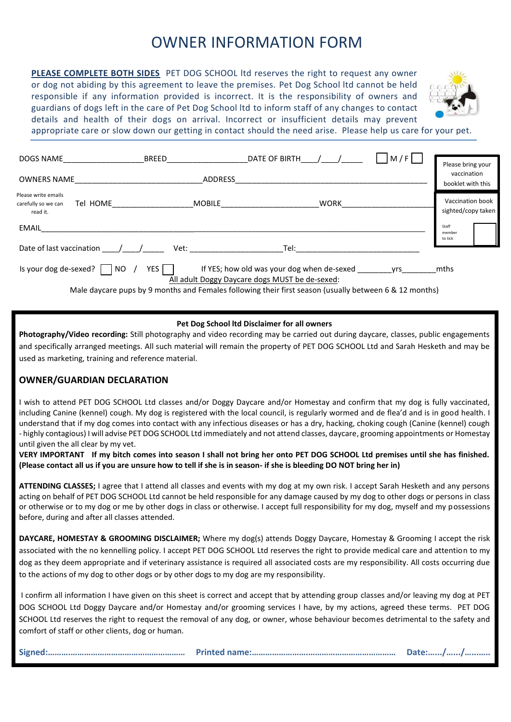## OWNER INFORMATION FORM

**PLEASE COMPLETE BOTH SIDES** PET DOG SCHOOL ltd reserves the right to request any owner or dog not abiding by this agreement to leave the premises. Pet Dog School ltd cannot be held responsible if any information provided is incorrect. It is the responsibility of owners and guardians of dogs left in the care of Pet Dog School ltd to inform staff of any changes to contact details and health of their dogs on arrival. Incorrect or insufficient details may prevent



appropriate care or slow down our getting in contact should the need arise. Please help us care for your pet.

| <b>DOGS NAME</b>                                                   | <b>BREED</b>   | DATE OF BIRTH                                                                                           | M/F | Please bring your                      |
|--------------------------------------------------------------------|----------------|---------------------------------------------------------------------------------------------------------|-----|----------------------------------------|
| <b>OWNERS NAME</b>                                                 | <b>ADDRESS</b> |                                                                                                         |     | vaccination<br>booklet with this       |
| Please write emails<br>Tel HOME<br>carefully so we can<br>read it. | <b>MOBILE</b>  | <b>WORK</b>                                                                                             |     | Vaccination book<br>sighted/copy taken |
| <b>EMAIL</b>                                                       |                |                                                                                                         |     | Staff<br>member                        |
| Date of last vaccination                                           | Vet:           | Tel:                                                                                                    |     | to tick                                |
| Is your dog de-sexed?<br>NO.                                       | YES            | If YES; how old was your dog when de-sexed<br>All adult Doggy Daycare dogs MUST be de-sexed:            | vrs | mths                                   |
|                                                                    |                | Male daysare nuns by 0 months and Eamales following their first season (usually between 6.8, 12 months) |     |                                        |

Male daycare pups by 9 months and Females following their first season (usually between 6 & 12 months)

## **Pet Dog School ltd Disclaimer for all owners**

**Photography/Video recording:** Still photography and video recording may be carried out during daycare, classes, public engagements and specifically arranged meetings. All such material will remain the property of PET DOG SCHOOL Ltd and Sarah Hesketh and may be used as marketing, training and reference material.

## **OWNER/GUARDIAN DECLARATION**

I wish to attend PET DOG SCHOOL Ltd classes and/or Doggy Daycare and/or Homestay and confirm that my dog is fully vaccinated, including Canine (kennel) cough. My dog is registered with the local council, is regularly wormed and de flea'd and is in good health. I understand that if my dog comes into contact with any infectious diseases or has a dry, hacking, choking cough (Canine (kennel) cough - highly contagious) I will advise PET DOG SCHOOL Ltd immediately and not attend classes, daycare, grooming appointments or Homestay until given the all clear by my vet.

**VERY IMPORTANT If my bitch comes into season I shall not bring her onto PET DOG SCHOOL Ltd premises until she has finished. (Please contact all us if you are unsure how to tell if she is in season- if she is bleeding DO NOT bring her in)**

**ATTENDING CLASSES;** I agree that I attend all classes and events with my dog at my own risk. I accept Sarah Hesketh and any persons acting on behalf of PET DOG SCHOOL Ltd cannot be held responsible for any damage caused by my dog to other dogs or persons in class or otherwise or to my dog or me by other dogs in class or otherwise. I accept full responsibility for my dog, myself and my possessions before, during and after all classes attended.

**DAYCARE, HOMESTAY & GROOMING DISCLAIMER;** Where my dog(s) attends Doggy Daycare, Homestay & Grooming I accept the risk associated with the no kennelling policy. I accept PET DOG SCHOOL Ltd reserves the right to provide medical care and attention to my dog as they deem appropriate and if veterinary assistance is required all associated costs are my responsibility. All costs occurring due to the actions of my dog to other dogs or by other dogs to my dog are my responsibility.

I confirm all information I have given on this sheet is correct and accept that by attending group classes and/or leaving my dog at PET DOG SCHOOL Ltd Doggy Daycare and/or Homestay and/or grooming services I have, by my actions, agreed these terms. PET DOG SCHOOL Ltd reserves the right to request the removal of any dog, or owner, whose behaviour becomes detrimental to the safety and comfort of staff or other clients, dog or human.

**Signed:……….…………………………………………… Printed name:…………………….………………………………… Date:….../….../…...…..**